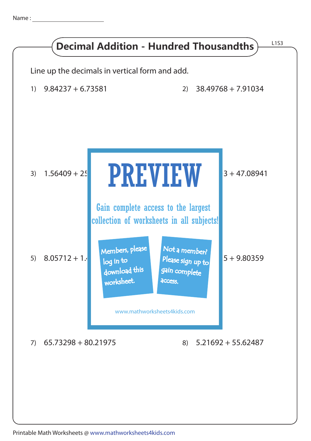